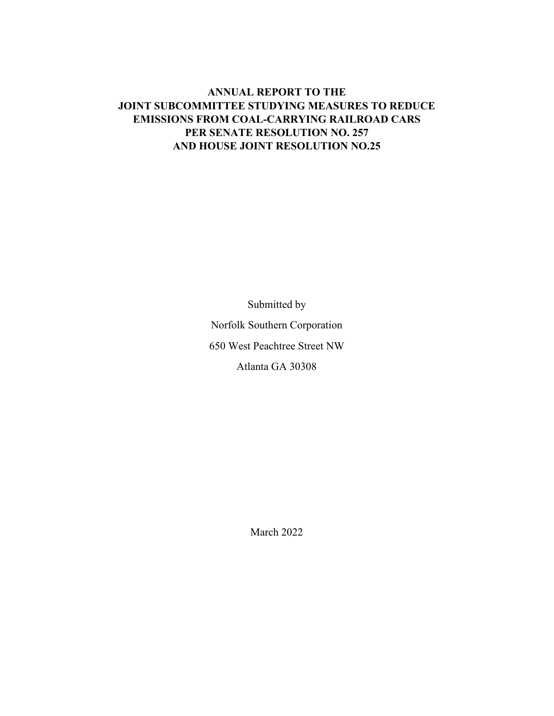# **ANNUAL REPORT TO THE JOINT SUBCOMMITTEE STUDYING MEASURES TO REDUCE EMISSIONS FROM COAL-CARRYING RAILROAD CARS PER SENATE RESOLUTION NO. 257 AND HOUSE JOINT RESOLUTION NO.25**

Submitted by Norfolk Southern Corporation 650 West Peachtree Street NW

Atlanta GA 30308

March 2022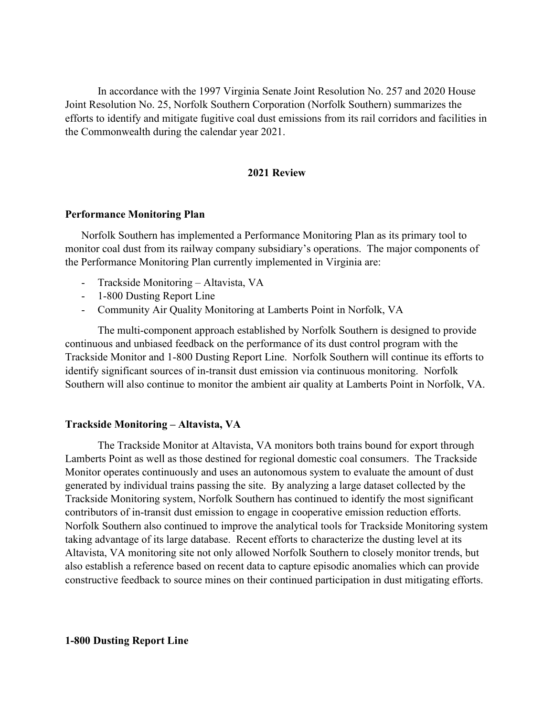In accordance with the 1997 Virginia Senate Joint Resolution No. 257 and 2020 House Joint Resolution No. 25, Norfolk Southern Corporation (Norfolk Southern) summarizes the efforts to identify and mitigate fugitive coal dust emissions from its rail corridors and facilities in the Commonwealth during the calendar year 2021.

#### **2021 Review**

## **Performance Monitoring Plan**

Norfolk Southern has implemented a Performance Monitoring Plan as its primary tool to monitor coal dust from its railway company subsidiary's operations. The major components of the Performance Monitoring Plan currently implemented in Virginia are:

- Trackside Monitoring Altavista, VA
- 1-800 Dusting Report Line
- Community Air Quality Monitoring at Lamberts Point in Norfolk, VA

The multi-component approach established by Norfolk Southern is designed to provide continuous and unbiased feedback on the performance of its dust control program with the Trackside Monitor and 1-800 Dusting Report Line. Norfolk Southern will continue its efforts to identify significant sources of in-transit dust emission via continuous monitoring. Norfolk Southern will also continue to monitor the ambient air quality at Lamberts Point in Norfolk, VA.

## **Trackside Monitoring – Altavista, VA**

The Trackside Monitor at Altavista, VA monitors both trains bound for export through Lamberts Point as well as those destined for regional domestic coal consumers. The Trackside Monitor operates continuously and uses an autonomous system to evaluate the amount of dust generated by individual trains passing the site. By analyzing a large dataset collected by the Trackside Monitoring system, Norfolk Southern has continued to identify the most significant contributors of in-transit dust emission to engage in cooperative emission reduction efforts. Norfolk Southern also continued to improve the analytical tools for Trackside Monitoring system taking advantage of its large database. Recent efforts to characterize the dusting level at its Altavista, VA monitoring site not only allowed Norfolk Southern to closely monitor trends, but also establish a reference based on recent data to capture episodic anomalies which can provide constructive feedback to source mines on their continued participation in dust mitigating efforts.